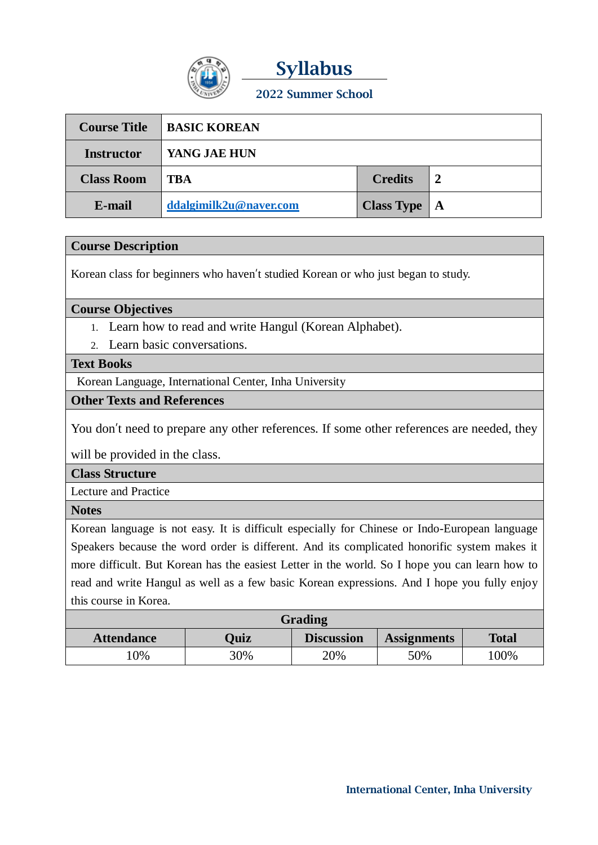

**Syllabus 2022 Summer School**

| <b>Course Title</b> | <b>BASIC KOREAN</b>    |                                    |                |
|---------------------|------------------------|------------------------------------|----------------|
| <b>Instructor</b>   | YANG JAE HUN           |                                    |                |
| <b>Class Room</b>   | TBA                    | <b>Credits</b>                     | $\overline{2}$ |
| E-mail              | ddalgimilk2u@naver.com | <b>Class Type</b> $\vert$ <b>A</b> |                |

## **Course Description**

Korean class for beginners who haven't studied Korean or who just began to study.

**Course Objectives**

- 1. Learn how to read and write Hangul (Korean Alphabet).
- 2. Learn basic conversations.

## **Text Books**

Korean Language, International Center, Inha University

## **Other Texts and References**

You don't need to prepare any other references. If some other references are needed, they

will be provided in the class.

**Class Structure**

Lecture and Practice

**Notes**

Korean language is not easy. It is difficult especially for Chinese or Indo-European language Speakers because the word order is different. And its complicated honorific system makes it more difficult. But Korean has the easiest Letter in the world. So I hope you can learn how to read and write Hangul as well as a few basic Korean expressions. And I hope you fully enjoy this course in Korea.

| Grading           |             |                   |                    |              |  |  |  |  |
|-------------------|-------------|-------------------|--------------------|--------------|--|--|--|--|
| <b>Attendance</b> | <b>Ouiz</b> | <b>Discussion</b> | <b>Assignments</b> | <b>Total</b> |  |  |  |  |
| .0%               | 30%         | 20%               | 50%                | 00%          |  |  |  |  |